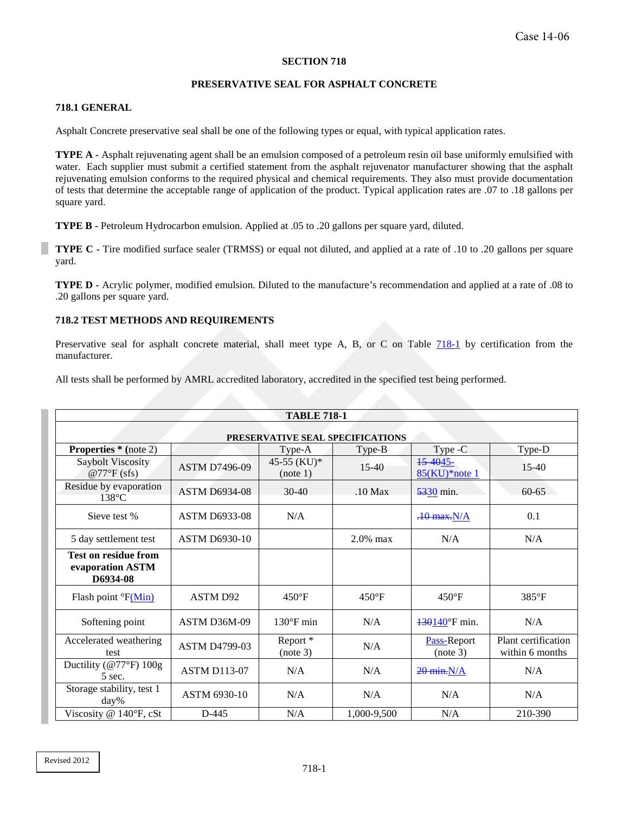## **SECTION 718**

## **PRESERVATIVE SEAL FOR ASPHALT CONCRETE**

## <span id="page-0-0"></span>**718.1 GENERAL**

Asphalt Concrete preservative seal shall be one of the following types or equal, with typical application rates.

**TYPE A -** Asphalt rejuvenating agent shall be an emulsion composed of a petroleum resin oil base uniformly emulsified with water. Each supplier must submit a certified statement from the asphalt rejuvenator manufacturer showing that the asphalt rejuvenating emulsion conforms to the required physical and chemical requirements. They also must provide documentation of tests that determine the acceptable range of application of the product. Typical application rates are .07 to .18 gallons per square yard.

**TYPE B -** Petroleum Hydrocarbon emulsion. Applied at .05 to .20 gallons per square yard, diluted.

**TYPE C -** Tire modified surface sealer (TRMSS) or equal not diluted, and applied at a rate of .10 to .20 gallons per square yard.

**TYPE D -** Acrylic polymer, modified emulsion. Diluted to the manufacture's recommendation and applied at a rate of .08 to .20 gallons per square yard.

## **718.2 TEST METHODS AND REQUIREMENTS**

Preservative seal for asphalt concrete material, shall meet type A, B, or C on Table [718-1](#page-0-0) by certification from the manufacturer.

All tests shall be performed by AMRL accredited laboratory, accredited in the specified test being performed.

| <b>TABLE 718-1</b><br>PRESERVATIVE SEAL SPECIFICATIONS      |                      |                                 |                 |                               |                                        |  |  |  |
|-------------------------------------------------------------|----------------------|---------------------------------|-----------------|-------------------------------|----------------------------------------|--|--|--|
|                                                             |                      |                                 |                 |                               |                                        |  |  |  |
| Saybolt Viscosity<br>$@77^{\circ}F$ (sfs)                   | <b>ASTM D7496-09</b> | 45-55 (KU)*<br>(note 1)         | $15-40$         | 15 40 45 -<br>$85(KU)*note 1$ | $15-40$                                |  |  |  |
| Residue by evaporation<br>$138^{\circ}$ C                   | <b>ASTM D6934-08</b> | $30 - 40$                       | $.10$ Max       | 5330 min.                     | $60 - 65$                              |  |  |  |
| Sieve test %                                                | <b>ASTM D6933-08</b> | N/A                             |                 | $.10$ max. $N/A$              | 0.1                                    |  |  |  |
| 5 day settlement test                                       | <b>ASTM D6930-10</b> |                                 | $2.0\%$ max     | N/A                           | N/A                                    |  |  |  |
| <b>Test on residue from</b><br>evaporation ASTM<br>D6934-08 |                      |                                 |                 |                               |                                        |  |  |  |
| Flash point ${}^{\circ}F(Min)$                              | ASTM D92             | $450^{\circ}F$                  | $450^{\circ}$ F | $450^{\circ}$ F               | $385^{\circ}F$                         |  |  |  |
| Softening point                                             | ASTM D36M-09         | $130^{\circ}$ F min             | N/A             | 430140°F min.                 | N/A                                    |  |  |  |
| Accelerated weathering<br>test                              | <b>ASTM D4799-03</b> | Report <sup>*</sup><br>(note 3) | N/A             | Pass-Report<br>(note 3)       | Plant certification<br>within 6 months |  |  |  |
| Ductility ( $@77^\circ F$ ) 100g<br>5 sec.                  | <b>ASTM D113-07</b>  | N/A                             | N/A             | $20$ min. N/A                 | N/A                                    |  |  |  |
| Storage stability, test 1<br>day%                           | ASTM 6930-10         | N/A                             | N/A             | N/A                           | N/A                                    |  |  |  |
| Viscosity $@$ 140 $\degree$ F, cSt                          | $D-445$              | N/A                             | 1,000-9,500     | N/A                           | 210-390                                |  |  |  |